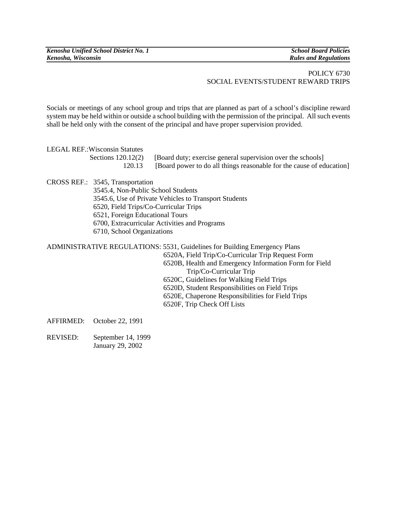## POLICY 6730 SOCIAL EVENTS/STUDENT REWARD TRIPS

Socials or meetings of any school group and trips that are planned as part of a school's discipline reward system may be held within or outside a school building with the permission of the principal. All such events shall be held only with the consent of the principal and have proper supervision provided.

LEGAL REF.:Wisconsin Statutes

Sections  $120.12(2)$  [Board duty; exercise general supervision over the schools] 120.13 [Board power to do all things reasonable for the cause of education]

CROSS REF.: 3545, Transportation

 3545.4, Non-Public School Students 3545.6, Use of Private Vehicles to Transport Students 6520, Field Trips/Co-Curricular Trips 6521, Foreign Educational Tours 6700, Extracurricular Activities and Programs 6710, School Organizations

ADMINISTRATIVE REGULATIONS: 5531, Guidelines for Building Emergency Plans

- 6520A, Field Trip/Co-Curricular Trip Request Form 6520B, Health and Emergency Information Form for Field Trip/Co-Curricular Trip 6520C, Guidelines for Walking Field Trips 6520D, Student Responsibilities on Field Trips
- 6520E, Chaperone Responsibilities for Field Trips
- 6520F, Trip Check Off Lists

AFFIRMED: October 22, 1991

REVISED: September 14, 1999 January 29, 2002